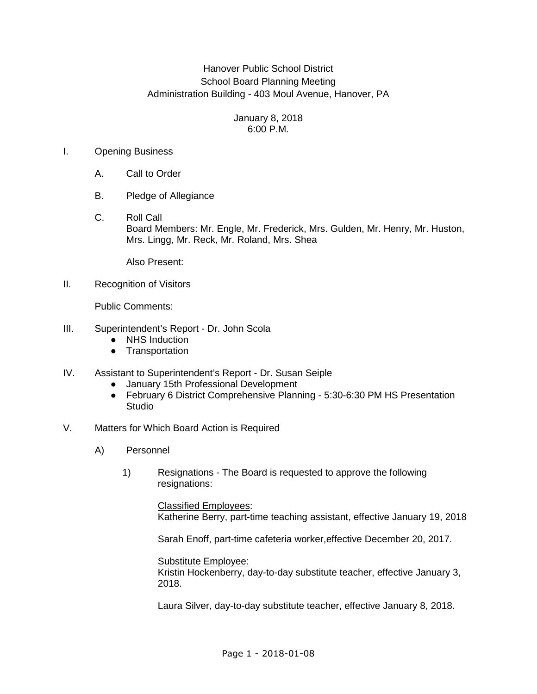# Hanover Public School District School Board Planning Meeting Administration Building - 403 Moul Avenue, Hanover, PA

### January 8, 2018 6:00 P.M.

## I. Opening Business

- A. Call to Order
- B. Pledge of Allegiance
- C. Roll Call Board Members: Mr. Engle, Mr. Frederick, Mrs. Gulden, Mr. Henry, Mr. Huston, Mrs. Lingg, Mr. Reck, Mr. Roland, Mrs. Shea

Also Present:

II. Recognition of Visitors

Public Comments:

- III. Superintendent's Report Dr. John Scola
	- NHS Induction
	- Transportation
- IV. Assistant to Superintendent's Report Dr. Susan Seiple
	- January 15th Professional Development
	- February 6 District Comprehensive Planning 5:30-6:30 PM HS Presentation **Studio**
- V. Matters for Which Board Action is Required
	- A) Personnel
		- 1) Resignations The Board is requested to approve the following resignations:

 Classified Employees: Katherine Berry, part-time teaching assistant, effective January 19, 2018

Sarah Enoff, part-time cafeteria worker,effective December 20, 2017.

Substitute Employee:

Kristin Hockenberry, day-to-day substitute teacher, effective January 3, 2018.

Laura Silver, day-to-day substitute teacher, effective January 8, 2018.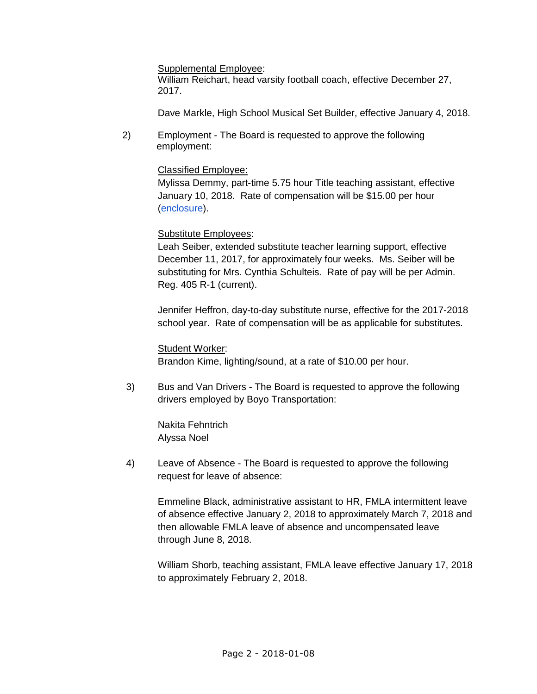Supplemental Employee:

 William Reichart, head varsity football coach, effective December 27, 2017.

Dave Markle, High School Musical Set Builder, effective January 4, 2018.

2) Employment - The Board is requested to approve the following employment:

## Classified Employee:

 Mylissa Demmy, part-time 5.75 hour Title teaching assistant, effective January 10, 2018. Rate of compensation will be \$15.00 per hour (enclosure).

### Substitute Employees:

Leah Seiber, extended substitute teacher learning support, effective December 11, 2017, for approximately four weeks. Ms. Seiber will be substituting for Mrs. Cynthia Schulteis. Rate of pay will be per Admin. Reg. 405 R-1 (current).

Jennifer Heffron, day-to-day substitute nurse, effective for the 2017-2018 school year. Rate of compensation will be as applicable for substitutes.

Student Worker: Brandon Kime, lighting/sound, at a rate of \$10.00 per hour.

3) Bus and Van Drivers - The Board is requested to approve the following drivers employed by Boyo Transportation:

 Nakita Fehntrich Alyssa Noel

4) Leave of Absence - The Board is requested to approve the following request for leave of absence:

 Emmeline Black, administrative assistant to HR, FMLA intermittent leave of absence effective January 2, 2018 to approximately March 7, 2018 and then allowable FMLA leave of absence and uncompensated leave through June 8, 2018.

 William Shorb, teaching assistant, FMLA leave effective January 17, 2018 to approximately February 2, 2018.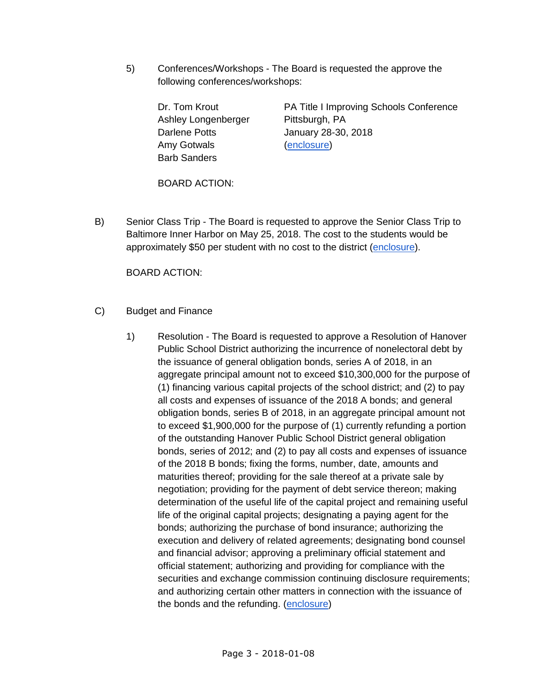5) Conferences/Workshops - The Board is requested the approve the following conferences/workshops:

> Ashley Longenberger Pittsburgh, PA Amy Gotwals (enclosure) Barb Sanders

Dr. Tom Krout **PA Title I Improving Schools Conference** Darlene Potts **January 28-30, 2018** 

BOARD ACTION:

B) Senior Class Trip - The Board is requested to approve the Senior Class Trip to Baltimore Inner Harbor on May 25, 2018. The cost to the students would be approximately \$50 per student with no cost to the district (enclosure).

BOARD ACTION:

- C) Budget and Finance
	- 1) Resolution The Board is requested to approve a Resolution of Hanover Public School District authorizing the incurrence of nonelectoral debt by the issuance of general obligation bonds, series A of 2018, in an aggregate principal amount not to exceed \$10,300,000 for the purpose of (1) financing various capital projects of the school district; and (2) to pay all costs and expenses of issuance of the 2018 A bonds; and general obligation bonds, series B of 2018, in an aggregate principal amount not to exceed \$1,900,000 for the purpose of (1) currently refunding a portion of the outstanding Hanover Public School District general obligation bonds, series of 2012; and (2) to pay all costs and expenses of issuance of the 2018 B bonds; fixing the forms, number, date, amounts and maturities thereof; providing for the sale thereof at a private sale by negotiation; providing for the payment of debt service thereon; making determination of the useful life of the capital project and remaining useful life of the original capital projects; designating a paying agent for the bonds; authorizing the purchase of bond insurance; authorizing the execution and delivery of related agreements; designating bond counsel and financial advisor; approving a preliminary official statement and official statement; authorizing and providing for compliance with the securities and exchange commission continuing disclosure requirements; and authorizing certain other matters in connection with the issuance of the bonds and the refunding. (enclosure)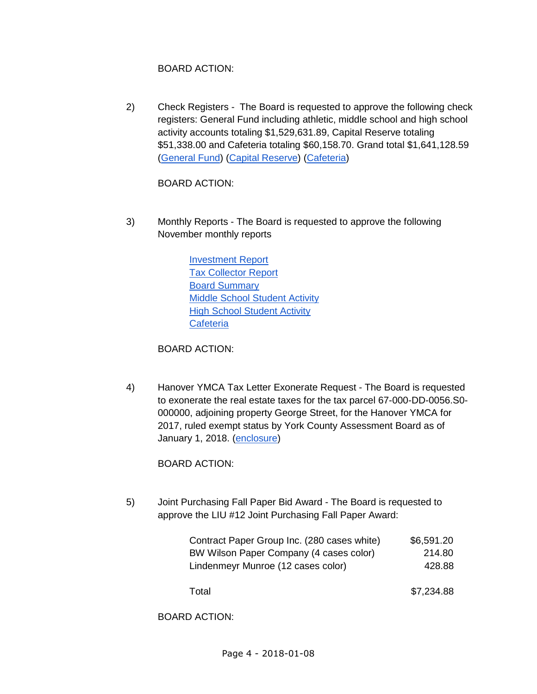# BOARD ACTION:

 2) Check Registers - The Board is requested to approve the following check registers: General Fund including athletic, middle school and high school activity accounts totaling \$1,529,631.89, Capital Reserve totaling \$51,338.00 and Cafeteria totaling \$60,158.70. Grand total \$1,641,128.59 (General Fund) (Capital Reserve) (Cafeteria)

BOARD ACTION:

 3) Monthly Reports - The Board is requested to approve the following November monthly reports

> Investment Report Tax Collector Report Board Summary Middle School Student Activity **High School Student Activity Cafeteria**

BOARD ACTION:

 4) Hanover YMCA Tax Letter Exonerate Request - The Board is requested to exonerate the real estate taxes for the tax parcel 67-000-DD-0056.S0- 000000, adjoining property George Street, for the Hanover YMCA for 2017, ruled exempt status by York County Assessment Board as of January 1, 2018. (enclosure)

BOARD ACTION:

 5) Joint Purchasing Fall Paper Bid Award - The Board is requested to approve the LIU #12 Joint Purchasing Fall Paper Award:

| Contract Paper Group Inc. (280 cases white)<br>BW Wilson Paper Company (4 cases color) | \$6,591.20 |
|----------------------------------------------------------------------------------------|------------|
|                                                                                        | 214.80     |
| Lindenmeyr Munroe (12 cases color)                                                     | 428.88     |
| Total                                                                                  | \$7,234.88 |

BOARD ACTION: